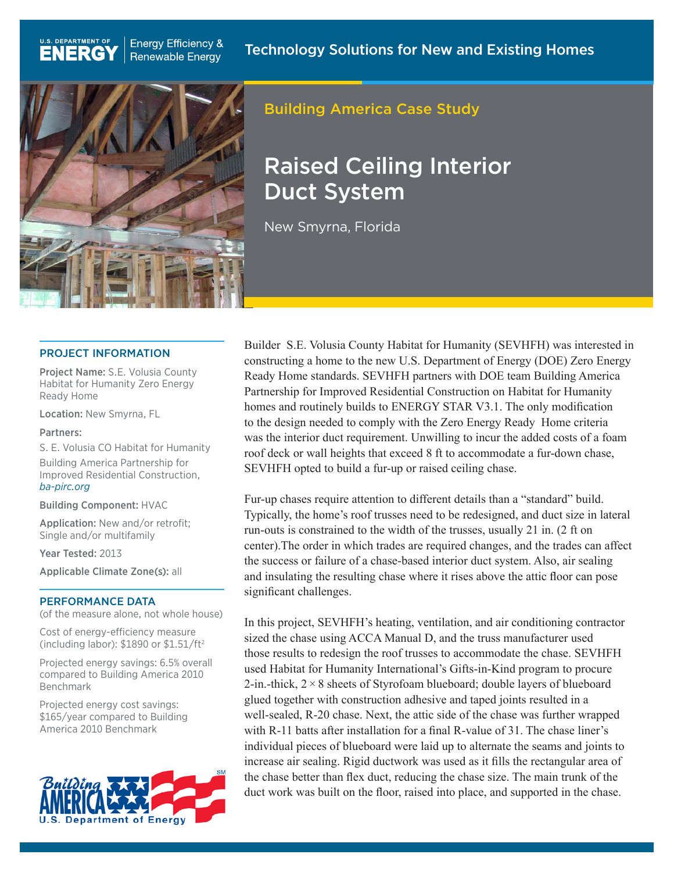

**Energy Efficiency &** 

**Renewable Energy** 

**U.S. DEPARTMENT OF** 

**ENERGY** 

# Building America Case Study

# Raised Ceiling Interior Duct System

New Smyrna, Florida

#### PROJECT INFORMATION

Project Name: S.E. Volusia County Habitat for Humanity Zero Energy Ready Home

Location: New Smyrna, FL

#### Partners:

S. E. Volusia CO Habitat for Humanity

Building America Partnership for Improved Residential Construction, *[ba-pirc.org](http://www.ba-pirc.org)*

Building Component: HVAC

Application: New and/or retrofit; Single and/or multifamily

Year Tested: 2013

Applicable Climate Zone(s): all

#### PERFORMANCE DATA

(of the measure alone, not whole house)

Cost of energy-efficiency measure (including labor): \$1890 or \$1.51/ft2

Projected energy savings: 6.5% overall compared to Building America 2010 Benchmark

Projected energy cost savings: \$165/year compared to Building America 2010 Benchmark



Builder S.E. Volusia County Habitat for Humanity (SEVHFH) was interested in constructing a home to the new U.S. Department of Energy (DOE) Zero Energy Ready Home standards. SEVHFH partners with DOE team Building America Partnership for Improved Residential Construction on Habitat for Humanity homes and routinely builds to ENERGY STAR V3.1. The only modification to the design needed to comply with the Zero Energy Ready Home criteria was the interior duct requirement. Unwilling to incur the added costs of a foam roof deck or wall heights that exceed 8 ft to accommodate a fur-down chase, SEVHFH opted to build a fur-up or raised ceiling chase.

Fur-up chases require attention to different details than a "standard" build. Typically, the home's roof trusses need to be redesigned, and duct size in lateral run-outs is constrained to the width of the trusses, usually 21 in. (2 ft on center).The order in which trades are required changes, and the trades can affect the success or failure of a chase-based interior duct system. Also, air sealing and insulating the resulting chase where it rises above the attic floor can pose significant challenges.

In this project, SEVHFH's heating, ventilation, and air conditioning contractor sized the chase using ACCA Manual D, and the truss manufacturer used those results to redesign the roof trusses to accommodate the chase. SEVHFH used Habitat for Humanity International's Gifts-in-Kind program to procure 2-in.-thick,  $2 \times 8$  sheets of Styrofoam blueboard; double layers of blueboard glued together with construction adhesive and taped joints resulted in a well-sealed, R-20 chase. Next, the attic side of the chase was further wrapped with R-11 batts after installation for a final R-value of 31. The chase liner's individual pieces of blueboard were laid up to alternate the seams and joints to increase air sealing. Rigid ductwork was used as it fills the rectangular area of the chase better than flex duct, reducing the chase size. The main trunk of the duct work was built on the floor, raised into place, and supported in the chase.